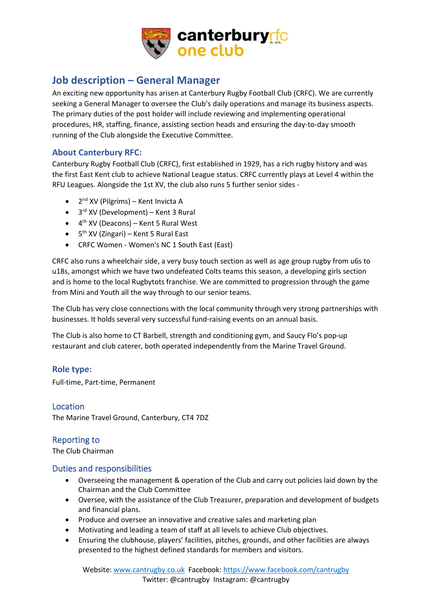

# **Job description – General Manager**

An exciting new opportunity has arisen at Canterbury Rugby Football Club (CRFC). We are currently seeking a General Manager to oversee the Club's daily operations and manage its business aspects. The primary duties of the post holder will include reviewing and implementing operational procedures, HR, staffing, finance, assisting section heads and ensuring the day-to-day smooth running of the Club alongside the Executive Committee.

## **About Canterbury RFC:**

Canterbury Rugby Football Club (CRFC), first established in 1929, has a rich rugby history and was the first East Kent club to achieve National League status. CRFC currently plays at Level 4 within the RFU Leagues. Alongside the 1st XV, the club also runs 5 further senior sides -

- $2<sup>nd</sup> XV$  (Pilgrims) Kent Invicta A
- $\bullet$  3<sup>rd</sup> XV (Development) Kent 3 Rural
- $\bullet$  4<sup>th</sup> XV (Deacons) Kent 5 Rural West
- $\bullet$  5<sup>th</sup> XV (Zingari) Kent 5 Rural East
- CRFC Women Women's NC 1 South East (East)

CRFC also runs a wheelchair side, a very busy touch section as well as age group rugby from u6s to u18s, amongst which we have two undefeated Colts teams this season, a developing girls section and is home to the local Rugbytots franchise. We are committed to progression through the game from Mini and Youth all the way through to our senior teams.

The Club has very close connections with the local community through very strong partnerships with businesses. It holds several very successful fund-raising events on an annual basis.

The Club is also home to CT Barbell, strength and conditioning gym, and Saucy Flo's pop-up restaurant and club caterer, both operated independently from the Marine Travel Ground.

## **Role type:**

Full-time, Part-time, Permanent

Location The Marine Travel Ground, Canterbury, CT4 7DZ

# Reporting to

The Club Chairman

## Duties and responsibilities

- Overseeing the management & operation of the Club and carry out policies laid down by the Chairman and the Club Committee
- Oversee, with the assistance of the Club Treasurer, preparation and development of budgets and financial plans.
- Produce and oversee an innovative and creative sales and marketing plan
- Motivating and leading a team of staff at all levels to achieve Club objectives.
- Ensuring the clubhouse, players' facilities, pitches, grounds, and other facilities are always presented to the highest defined standards for members and visitors.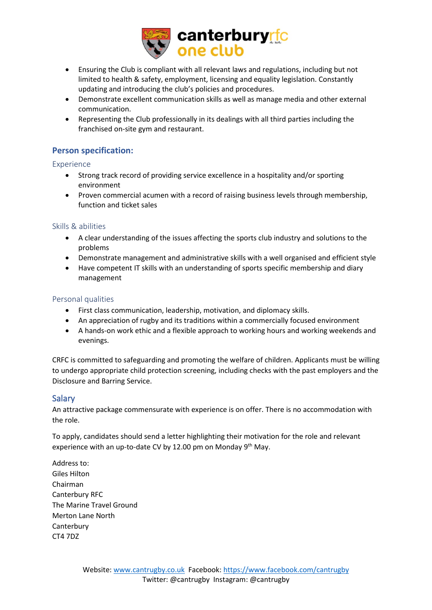

- Ensuring the Club is compliant with all relevant laws and regulations, including but not limited to health & safety, employment, licensing and equality legislation. Constantly updating and introducing the club's policies and procedures.
- Demonstrate excellent communication skills as well as manage media and other external communication.
- Representing the Club professionally in its dealings with all third parties including the franchised on-site gym and restaurant.

## **Person specification:**

Experience

- Strong track record of providing service excellence in a hospitality and/or sporting environment
- Proven commercial acumen with a record of raising business levels through membership, function and ticket sales

#### Skills & abilities

- A clear understanding of the issues affecting the sports club industry and solutions to the problems
- Demonstrate management and administrative skills with a well organised and efficient style
- Have competent IT skills with an understanding of sports specific membership and diary management

#### Personal qualities

- First class communication, leadership, motivation, and diplomacy skills.
- An appreciation of rugby and its traditions within a commercially focused environment
- A hands-on work ethic and a flexible approach to working hours and working weekends and evenings.

CRFC is committed to safeguarding and promoting the welfare of children. Applicants must be willing to undergo appropriate child protection screening, including checks with the past employers and the Disclosure and Barring Service.

## Salary

An attractive package commensurate with experience is on offer. There is no accommodation with the role.

To apply, candidates should send a letter highlighting their motivation for the role and relevant experience with an up-to-date CV by 12.00 pm on Monday 9<sup>th</sup> May.

Address to: Giles Hilton Chairman Canterbury RFC The Marine Travel Ground Merton Lane North **Canterbury** CT4 7DZ